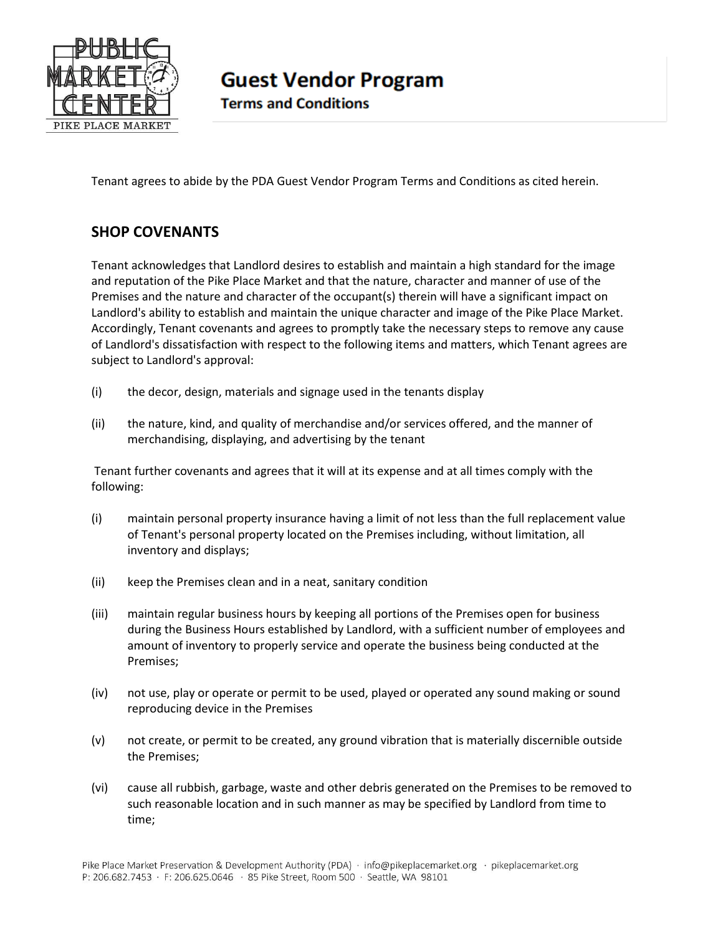

**Guest Vendor Program** 

**Terms and Conditions** 

Tenant agrees to abide by the PDA Guest Vendor Program Terms and Conditions as cited herein.

## **SHOP COVENANTS**

Tenant acknowledges that Landlord desires to establish and maintain a high standard for the image and reputation of the Pike Place Market and that the nature, character and manner of use of the Premises and the nature and character of the occupant(s) therein will have a significant impact on Landlord's ability to establish and maintain the unique character and image of the Pike Place Market. Accordingly, Tenant covenants and agrees to promptly take the necessary steps to remove any cause of Landlord's dissatisfaction with respect to the following items and matters, which Tenant agrees are subject to Landlord's approval:

- (i) the decor, design, materials and signage used in the tenants display
- (ii) the nature, kind, and quality of merchandise and/or services offered, and the manner of merchandising, displaying, and advertising by the tenant

Tenant further covenants and agrees that it will at its expense and at all times comply with the following:

- (i) maintain personal property insurance having a limit of not less than the full replacement value of Tenant's personal property located on the Premises including, without limitation, all inventory and displays;
- (ii) keep the Premises clean and in a neat, sanitary condition
- (iii) maintain regular business hours by keeping all portions of the Premises open for business during the Business Hours established by Landlord, with a sufficient number of employees and amount of inventory to properly service and operate the business being conducted at the Premises;
- (iv) not use, play or operate or permit to be used, played or operated any sound making or sound reproducing device in the Premises
- (v) not create, or permit to be created, any ground vibration that is materially discernible outside the Premises;
- (vi) cause all rubbish, garbage, waste and other debris generated on the Premises to be removed to such reasonable location and in such manner as may be specified by Landlord from time to time;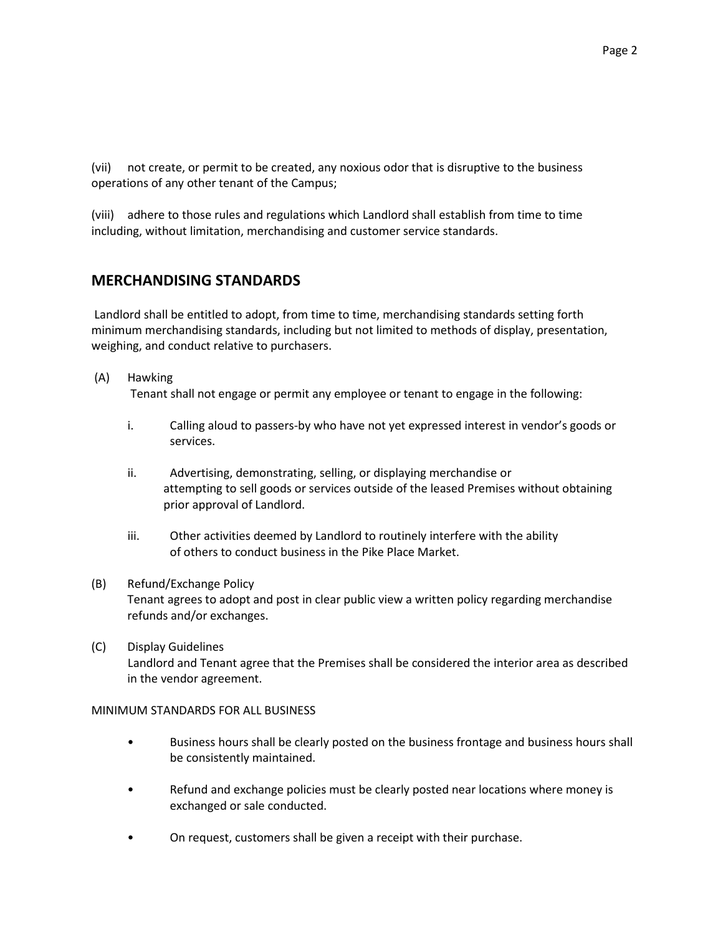(vii) not create, or permit to be created, any noxious odor that is disruptive to the business operations of any other tenant of the Campus;

(viii) adhere to those rules and regulations which Landlord shall establish from time to time including, without limitation, merchandising and customer service standards.

## **MERCHANDISING STANDARDS**

Landlord shall be entitled to adopt, from time to time, merchandising standards setting forth minimum merchandising standards, including but not limited to methods of display, presentation, weighing, and conduct relative to purchasers.

- (A) Hawking Tenant shall not engage or permit any employee or tenant to engage in the following:
	- i. Calling aloud to passers-by who have not yet expressed interest in vendor's goods or services.
	- ii. Advertising, demonstrating, selling, or displaying merchandise or attempting to sell goods or services outside of the leased Premises without obtaining prior approval of Landlord.
	- iii. Other activities deemed by Landlord to routinely interfere with the ability of others to conduct business in the Pike Place Market.

## (B) Refund/Exchange Policy Tenant agrees to adopt and post in clear public view a written policy regarding merchandise refunds and/or exchanges.

(C) Display Guidelines Landlord and Tenant agree that the Premises shall be considered the interior area as described in the vendor agreement.

## MINIMUM STANDARDS FOR ALL BUSINESS

- Business hours shall be clearly posted on the business frontage and business hours shall be consistently maintained.
- Refund and exchange policies must be clearly posted near locations where money is exchanged or sale conducted.
- On request, customers shall be given a receipt with their purchase.